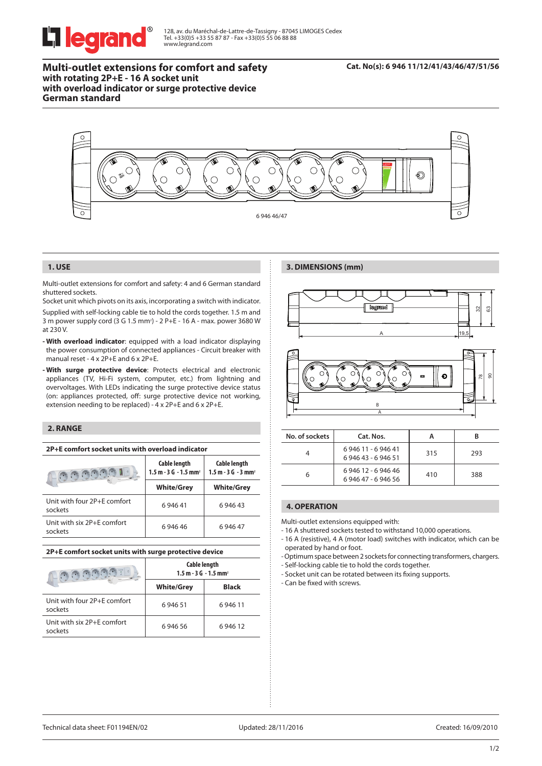

128, av. du Maréchal-de-Lattre-de-Tassigny - 87045 LIMOGES Cedex Tel. +33(0)5 +33 55 87 87 - Fax +33(0)5 55 06 88 88 www.legrand.com

**Multi-outlet extensions for comfort and safety with rotating 2P+E - 16 A socket unit with overload indicator or surge protective device German standard**

#### **Cat. No(s): 6 946 11/12/41/43/46/47/51/56**



#### **1. USE**

Multi-outlet extensions for comfort and safety: 4 and 6 German standard shuttered sockets.

Socket unit which pivots on its axis, incorporating a switch with indicator. Supplied with self-locking cable tie to hold the cords together. 1.5 m and 3 m power supply cord (3 G 1.5 mm<sup>2</sup>) - 2 P+E - 16 A - max. power 3680 W at 230 V.

- **With overload indicator**: equipped with a load indicator displaying the power consumption of connected appliances - Circuit breaker with manual reset - 4 x 2P+E and 6 x 2P+E.
- **With surge protective device**: Protects electrical and electronic appliances (TV, Hi-Fi system, computer, etc.) from lightning and overvoltages. With LEDs indicating the surge protective device status (on: appliances protected, off: surge protective device not working, extension needing to be replaced) - 4 x 2P+E and 6 x 2P+E.

## **2. RANGE**

| 2P+E comfort socket units with overload indicator |  |  |
|---------------------------------------------------|--|--|
|---------------------------------------------------|--|--|

|                                        | <b>Cable length</b><br>$1.5$ m $-3$ G $-1.5$ mm <sup>2</sup> | <b>Cable length</b><br>$1.5 m - 3 G - 3 mm2$ |
|----------------------------------------|--------------------------------------------------------------|----------------------------------------------|
|                                        | <b>White/Grey</b>                                            | <b>White/Grey</b>                            |
| Unit with four 2P+F comfort<br>sockets | 694641                                                       | 6 946 43                                     |
| Unit with six 2P+E comfort<br>sockets  | 694646                                                       | 694647                                       |

## **2P+E comfort socket units with surge protective device**

| Natural                                | <b>Cable length</b><br>$1.5$ m $-3$ G $-1.5$ mm <sup>2</sup> |              |  |
|----------------------------------------|--------------------------------------------------------------|--------------|--|
|                                        | <b>White/Grey</b>                                            | <b>Black</b> |  |
| Unit with four 2P+E comfort<br>sockets | 694651                                                       | 694611       |  |
| Unit with six 2P+E comfort<br>sockets  | 694656                                                       | 694612       |  |







| No. of sockets | Cat. Nos.                              |     |     |
|----------------|----------------------------------------|-----|-----|
|                | 694611 - 694641<br>6 946 43 - 6 946 51 | 315 | 293 |
|                | 694612 - 694646<br>694647 - 694656     | 410 | 388 |

# **4. OPERATION**

Multi-outlet extensions equipped with:

- 16 A shuttered sockets tested to withstand 10,000 operations.
- 16 A (resistive), 4 A (motor load) switches with indicator, which can be operated by hand or foot.

- Optimum space between 2 sockets for connecting transformers, chargers.

- Self-locking cable tie to hold the cords together.

- Socket unit can be rotated between its fixing supports.

- Can be fixed with screws.